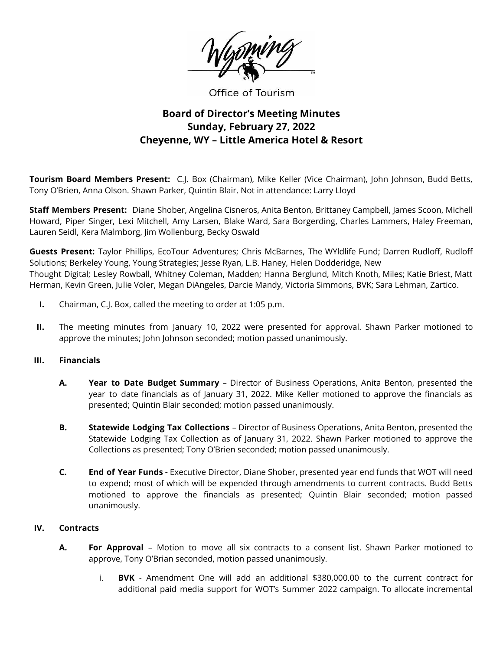

Office of Tourism

# **Board of Director's Meeting Minutes Sunday, February 27, 2022 Cheyenne, WY – Little America Hotel & Resort**

**Tourism Board Members Present:** C.J. Box (Chairman), Mike Keller (Vice Chairman), John Johnson, Budd Betts, Tony O'Brien, Anna Olson. Shawn Parker, Quintin Blair. Not in attendance: Larry Lloyd

**Staff Members Present:** Diane Shober, Angelina Cisneros, Anita Benton, Brittaney Campbell, James Scoon, Michell Howard, Piper Singer, Lexi Mitchell, Amy Larsen, Blake Ward, Sara Borgerding, Charles Lammers, Haley Freeman, Lauren Seidl, Kera Malmborg, Jim Wollenburg, Becky Oswald

**Guests Present:** Taylor Phillips, EcoTour Adventures; Chris McBarnes, The WYldlife Fund; Darren Rudloff, Rudloff Solutions; Berkeley Young, Young Strategies; Jesse Ryan, L.B. Haney, Helen Dodderidge, New Thought Digital; Lesley Rowball, Whitney Coleman, Madden; Hanna Berglund, Mitch Knoth, Miles; Katie Briest, Matt Herman, Kevin Green, Julie Voler, Megan DiAngeles, Darcie Mandy, Victoria Simmons, BVK; Sara Lehman, Zartico.

- **I.** Chairman, C.J. Box, called the meeting to order at 1:05 p.m.
- **II.** The meeting minutes from January 10, 2022 were presented for approval. Shawn Parker motioned to approve the minutes; John Johnson seconded; motion passed unanimously.

### **III. Financials**

- **A. Year to Date Budget Summary** Director of Business Operations, Anita Benton, presented the year to date financials as of January 31, 2022. Mike Keller motioned to approve the financials as presented; Quintin Blair seconded; motion passed unanimously.
- **B. Statewide Lodging Tax Collections** Director of Business Operations, Anita Benton, presented the Statewide Lodging Tax Collection as of January 31, 2022. Shawn Parker motioned to approve the Collections as presented; Tony O'Brien seconded; motion passed unanimously.
- **C. End of Year Funds -** Executive Director, Diane Shober, presented year end funds that WOT will need to expend; most of which will be expended through amendments to current contracts. Budd Betts motioned to approve the financials as presented; Quintin Blair seconded; motion passed unanimously.

### **IV. Contracts**

- **A. For Approval** Motion to move all six contracts to a consent list. Shawn Parker motioned to approve, Tony O'Brian seconded, motion passed unanimously.
	- i. **BVK** Amendment One will add an additional \$380,000.00 to the current contract for additional paid media support for WOT's Summer 2022 campaign. To allocate incremental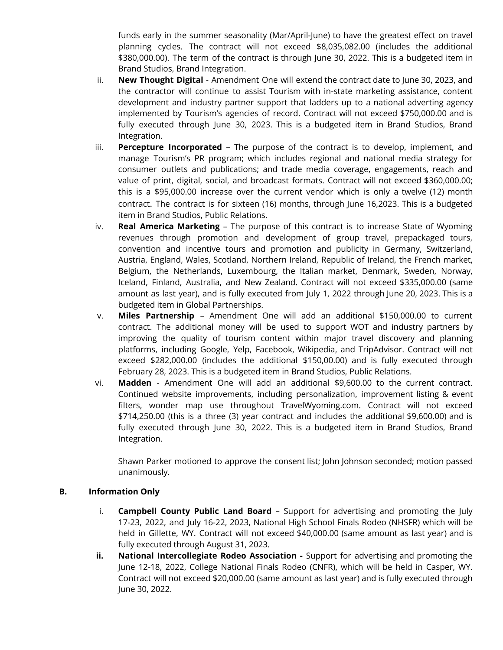funds early in the summer seasonality (Mar/April-June) to have the greatest effect on travel planning cycles. The contract will not exceed \$8,035,082.00 (includes the additional \$380,000.00). The term of the contract is through June 30, 2022. This is a budgeted item in Brand Studios, Brand Integration.

- ii. **New Thought Digital** Amendment One will extend the contract date to June 30, 2023, and the contractor will continue to assist Tourism with in-state marketing assistance, content development and industry partner support that ladders up to a national adverting agency implemented by Tourism's agencies of record. Contract will not exceed \$750,000.00 and is fully executed through June 30, 2023. This is a budgeted item in Brand Studios, Brand Integration.
- iii. **Percepture Incorporated** The purpose of the contract is to develop, implement, and manage Tourism's PR program; which includes regional and national media strategy for consumer outlets and publications; and trade media coverage, engagements, reach and value of print, digital, social, and broadcast formats. Contract will not exceed \$360,000.00; this is a \$95,000.00 increase over the current vendor which is only a twelve (12) month contract. The contract is for sixteen (16) months, through June 16,2023. This is a budgeted item in Brand Studios, Public Relations.
- iv. **Real America Marketing** The purpose of this contract is to increase State of Wyoming revenues through promotion and development of group travel, prepackaged tours, convention and incentive tours and promotion and publicity in Germany, Switzerland, Austria, England, Wales, Scotland, Northern Ireland, Republic of Ireland, the French market, Belgium, the Netherlands, Luxembourg, the Italian market, Denmark, Sweden, Norway, Iceland, Finland, Australia, and New Zealand. Contract will not exceed \$335,000.00 (same amount as last year), and is fully executed from July 1, 2022 through June 20, 2023. This is a budgeted item in Global Partnerships.
- v. **Miles Partnership** Amendment One will add an additional \$150,000.00 to current contract. The additional money will be used to support WOT and industry partners by improving the quality of tourism content within major travel discovery and planning platforms, including Google, Yelp, Facebook, Wikipedia, and TripAdvisor. Contract will not exceed \$282,000.00 (includes the additional \$150,00.00) and is fully executed through February 28, 2023. This is a budgeted item in Brand Studios, Public Relations.
- vi. **Madden** Amendment One will add an additional \$9,600.00 to the current contract. Continued website improvements, including personalization, improvement listing & event filters, wonder map use throughout TravelWyoming.com. Contract will not exceed \$714,250.00 (this is a three (3) year contract and includes the additional \$9,600.00) and is fully executed through June 30, 2022. This is a budgeted item in Brand Studios, Brand Integration.

Shawn Parker motioned to approve the consent list; John Johnson seconded; motion passed unanimously.

# **B. Information Only**

- i. **Campbell County Public Land Board** Support for advertising and promoting the July 17-23, 2022, and July 16-22, 2023, National High School Finals Rodeo (NHSFR) which will be held in Gillette, WY. Contract will not exceed \$40,000.00 (same amount as last year) and is fully executed through August 31, 2023.
- **ii. National Intercollegiate Rodeo Association -** Support for advertising and promoting the June 12-18, 2022, College National Finals Rodeo (CNFR), which will be held in Casper, WY. Contract will not exceed \$20,000.00 (same amount as last year) and is fully executed through June 30, 2022.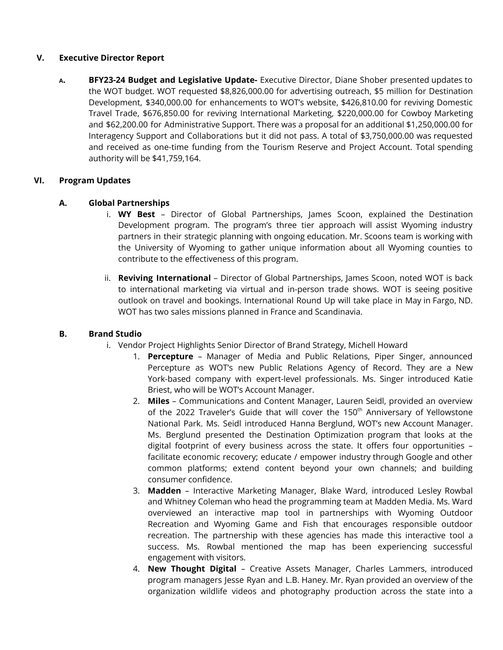## **V. Executive Director Report**

**<sup>A</sup>. BFY23-24 Budget and Legislative Update-** Executive Director, Diane Shober presented updates to the WOT budget. WOT requested \$8,826,000.00 for advertising outreach, \$5 million for Destination Development, \$340,000.00 for enhancements to WOT's website, \$426,810.00 for reviving Domestic Travel Trade, \$676,850.00 for reviving International Marketing, \$220,000.00 for Cowboy Marketing and \$62,200.00 for Administrative Support. There was a proposal for an additional \$1,250,000.00 for Interagency Support and Collaborations but it did not pass. A total of \$3,750,000.00 was requested and received as one-time funding from the Tourism Reserve and Project Account. Total spending authority will be \$41,759,164.

# **VI. Program Updates**

## **A. Global Partnerships**

- i. **WY Best** Director of Global Partnerships, James Scoon, explained the Destination Development program. The program's three tier approach will assist Wyoming industry partners in their strategic planning with ongoing education. Mr. Scoons team is working with the University of Wyoming to gather unique information about all Wyoming counties to contribute to the effectiveness of this program.
- ii. **Reviving International** Director of Global Partnerships, James Scoon, noted WOT is back to international marketing via virtual and in-person trade shows. WOT is seeing positive outlook on travel and bookings. International Round Up will take place in May in Fargo, ND. WOT has two sales missions planned in France and Scandinavia.

### **B. Brand Studio**

- i. Vendor Project Highlights Senior Director of Brand Strategy, Michell Howard
	- 1. **Percepture** Manager of Media and Public Relations, Piper Singer, announced Percepture as WOT's new Public Relations Agency of Record. They are a New York-based company with expert-level professionals. Ms. Singer introduced Katie Briest, who will be WOT's Account Manager.
	- 2. **Miles** Communications and Content Manager, Lauren Seidl, provided an overview of the 2022 Traveler's Guide that will cover the 150<sup>th</sup> Anniversary of Yellowstone National Park. Ms. Seidl introduced Hanna Berglund, WOT's new Account Manager. Ms. Berglund presented the Destination Optimization program that looks at the digital footprint of every business across the state. It offers four opportunities – facilitate economic recovery; educate / empower industry through Google and other common platforms; extend content beyond your own channels; and building consumer confidence.
	- 3. **Madden** Interactive Marketing Manager, Blake Ward, introduced Lesley Rowbal and Whitney Coleman who head the programming team at Madden Media. Ms. Ward overviewed an interactive map tool in partnerships with Wyoming Outdoor Recreation and Wyoming Game and Fish that encourages responsible outdoor recreation. The partnership with these agencies has made this interactive tool a success. Ms. Rowbal mentioned the map has been experiencing successful engagement with visitors.
	- 4. **New Thought Digital** Creative Assets Manager, Charles Lammers, introduced program managers Jesse Ryan and L.B. Haney. Mr. Ryan provided an overview of the organization wildlife videos and photography production across the state into a